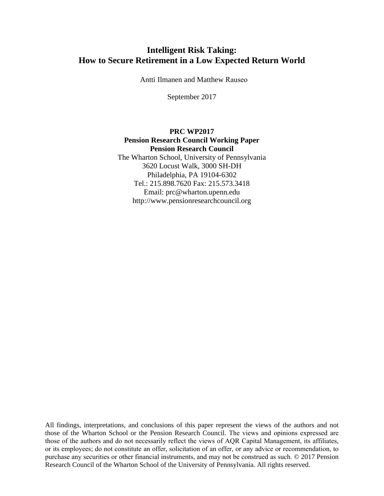# **Intelligent Risk Taking: How to Secure Retirement in a Low Expected Return World**

Antti Ilmanen and Matthew Rauseo

September 2017

## **PRC WP2017 Pension Research Council Working Paper Pension Research Council**

The Wharton School, University of Pennsylvania 3620 Locust Walk, 3000 SH-DH Philadelphia, PA 19104-6302 Tel.: 215.898.7620 Fax: 215.573.3418 Email: prc@wharton.upenn.edu http://www.pensionresearchcouncil.org

All findings, interpretations, and conclusions of this paper represent the views of the authors and not those of the Wharton School or the Pension Research Council. The views and opinions expressed are those of the authors and do not necessarily reflect the views of AQR Capital Management, its affiliates, or its employees; do not constitute an offer, solicitation of an offer, or any advice or recommendation, to purchase any securities or other financial instruments, and may not be construed as such. © 2017 Pension Research Council of the Wharton School of the University of Pennsylvania. All rights reserved.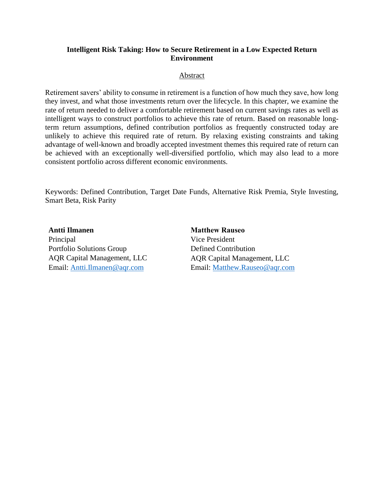## **Intelligent Risk Taking: How to Secure Retirement in a Low Expected Return Environment**

## Abstract

Retirement savers' ability to consume in retirement is a function of how much they save, how long they invest, and what those investments return over the lifecycle. In this chapter, we examine the rate of return needed to deliver a comfortable retirement based on current savings rates as well as intelligent ways to construct portfolios to achieve this rate of return. Based on reasonable longterm return assumptions, defined contribution portfolios as frequently constructed today are unlikely to achieve this required rate of return. By relaxing existing constraints and taking advantage of well-known and broadly accepted investment themes this required rate of return can be achieved with an exceptionally well-diversified portfolio, which may also lead to a more consistent portfolio across different economic environments.

Keywords: Defined Contribution, Target Date Funds, Alternative Risk Premia, Style Investing, Smart Beta, Risk Parity

## **Antti Ilmanen**

Principal Portfolio Solutions Group AQR Capital Management, LLC Email: [Antti.Ilmanen@aqr.com](mailto:Antti.Ilmanen@aqr.com)

**Matthew Rauseo** Vice President Defined Contribution AQR Capital Management, LLC Email: [Matthew.Rauseo@aqr.com](mailto:Matthew.Rauseo@aqr.com)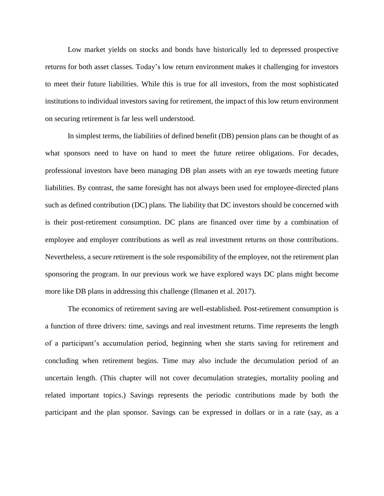Low market yields on stocks and bonds have historically led to depressed prospective returns for both asset classes. Today's low return environment makes it challenging for investors to meet their future liabilities. While this is true for all investors, from the most sophisticated institutions to individual investors saving for retirement, the impact of this low return environment on securing retirement is far less well understood.

In simplest terms, the liabilities of defined benefit (DB) pension plans can be thought of as what sponsors need to have on hand to meet the future retiree obligations. For decades, professional investors have been managing DB plan assets with an eye towards meeting future liabilities. By contrast, the same foresight has not always been used for employee-directed plans such as defined contribution (DC) plans. The liability that DC investors should be concerned with is their post-retirement consumption. DC plans are financed over time by a combination of employee and employer contributions as well as real investment returns on those contributions. Nevertheless, a secure retirement is the sole responsibility of the employee, not the retirement plan sponsoring the program. In our previous work we have explored ways DC plans might become more like DB plans in addressing this challenge (Ilmanen et al. 2017).

The economics of retirement saving are well-established. Post-retirement consumption is a function of three drivers: time, savings and real investment returns. Time represents the length of a participant's accumulation period, beginning when she starts saving for retirement and concluding when retirement begins. Time may also include the decumulation period of an uncertain length. (This chapter will not cover decumulation strategies, mortality pooling and related important topics.) Savings represents the periodic contributions made by both the participant and the plan sponsor. Savings can be expressed in dollars or in a rate (say, as a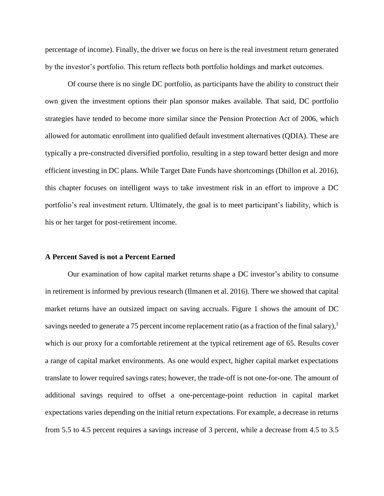percentage of income). Finally, the driver we focus on here is the real investment return generated by the investor's portfolio. This return reflects both portfolio holdings and market outcomes.

Of course there is no single DC portfolio, as participants have the ability to construct their own given the investment options their plan sponsor makes available. That said, DC portfolio strategies have tended to become more similar since the Pension Protection Act of 2006, which allowed for automatic enrollment into qualified default investment alternatives (QDIA). These are typically a pre-constructed diversified portfolio, resulting in a step toward better design and more efficient investing in DC plans. While Target Date Funds have shortcomings (Dhillon et al. 2016), this chapter focuses on intelligent ways to take investment risk in an effort to improve a DC portfolio's real investment return. Ultimately, the goal is to meet participant's liability, which is his or her target for post-retirement income.

#### **A Percent Saved is not a Percent Earned**

Our examination of how capital market returns shape a DC investor's ability to consume in retirement is informed by previous research (Ilmanen et al. 2016). There we showed that capital market returns have an outsized impact on saving accruals. Figure 1 shows the amount of DC savings needed to generate a 75 percent income replacement ratio (as a fraction of the final salary),<sup>1</sup> which is our proxy for a comfortable retirement at the typical retirement age of 65. Results cover a range of capital market environments. As one would expect, higher capital market expectations translate to lower required savings rates; however, the trade-off is not one-for-one. The amount of additional savings required to offset a one-percentage-point reduction in capital market expectations varies depending on the initial return expectations. For example, a decrease in returns from 5.5 to 4.5 percent requires a savings increase of 3 percent, while a decrease from 4.5 to 3.5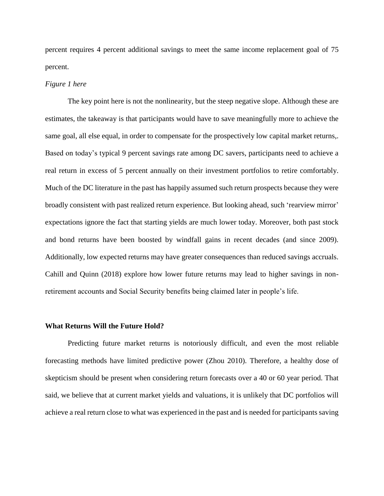percent requires 4 percent additional savings to meet the same income replacement goal of 75 percent.

#### *Figure 1 here*

The key point here is not the nonlinearity, but the steep negative slope. Although these are estimates, the takeaway is that participants would have to save meaningfully more to achieve the same goal, all else equal, in order to compensate for the prospectively low capital market returns,. Based on today's typical 9 percent savings rate among DC savers, participants need to achieve a real return in excess of 5 percent annually on their investment portfolios to retire comfortably. Much of the DC literature in the past has happily assumed such return prospects because they were broadly consistent with past realized return experience. But looking ahead, such 'rearview mirror' expectations ignore the fact that starting yields are much lower today. Moreover, both past stock and bond returns have been boosted by windfall gains in recent decades (and since 2009). Additionally, low expected returns may have greater consequences than reduced savings accruals. Cahill and Quinn (2018) explore how lower future returns may lead to higher savings in nonretirement accounts and Social Security benefits being claimed later in people's life.

#### **What Returns Will the Future Hold?**

Predicting future market returns is notoriously difficult, and even the most reliable forecasting methods have limited predictive power (Zhou 2010). Therefore, a healthy dose of skepticism should be present when considering return forecasts over a 40 or 60 year period. That said, we believe that at current market yields and valuations, it is unlikely that DC portfolios will achieve a real return close to what was experienced in the past and is needed for participants saving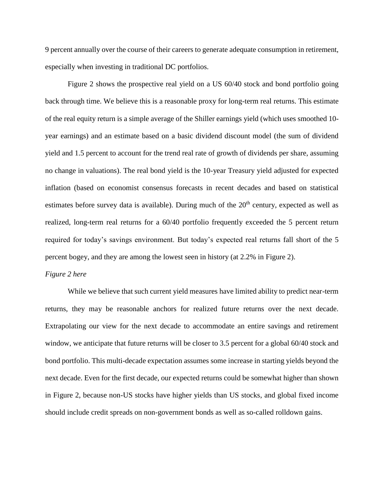9 percent annually over the course of their careers to generate adequate consumption in retirement, especially when investing in traditional DC portfolios.

Figure 2 shows the prospective real yield on a US 60/40 stock and bond portfolio going back through time. We believe this is a reasonable proxy for long-term real returns. This estimate of the real equity return is a simple average of the Shiller earnings yield (which uses smoothed 10 year earnings) and an estimate based on a basic dividend discount model (the sum of dividend yield and 1.5 percent to account for the trend real rate of growth of dividends per share, assuming no change in valuations). The real bond yield is the 10-year Treasury yield adjusted for expected inflation (based on economist consensus forecasts in recent decades and based on statistical estimates before survey data is available). During much of the  $20<sup>th</sup>$  century, expected as well as realized, long-term real returns for a 60/40 portfolio frequently exceeded the 5 percent return required for today's savings environment. But today's expected real returns fall short of the 5 percent bogey, and they are among the lowest seen in history (at 2.2% in Figure 2).

### *Figure 2 here*

While we believe that such current yield measures have limited ability to predict near-term returns, they may be reasonable anchors for realized future returns over the next decade. Extrapolating our view for the next decade to accommodate an entire savings and retirement window, we anticipate that future returns will be closer to 3.5 percent for a global 60/40 stock and bond portfolio. This multi-decade expectation assumes some increase in starting yields beyond the next decade. Even for the first decade, our expected returns could be somewhat higher than shown in Figure 2, because non-US stocks have higher yields than US stocks, and global fixed income should include credit spreads on non-government bonds as well as so-called rolldown gains.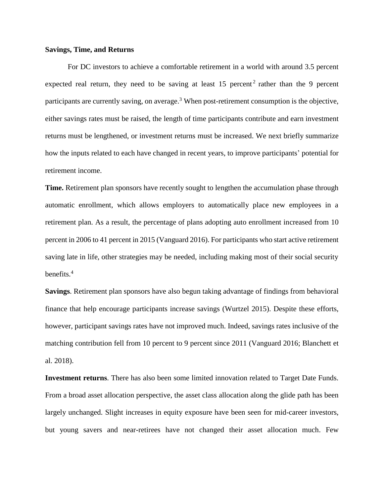#### **Savings, Time, and Returns**

For DC investors to achieve a comfortable retirement in a world with around 3.5 percent expected real return, they need to be saving at least 15 percent<sup>2</sup> rather than the 9 percent participants are currently saving, on average.<sup>3</sup> When post-retirement consumption is the objective, either savings rates must be raised, the length of time participants contribute and earn investment returns must be lengthened, or investment returns must be increased. We next briefly summarize how the inputs related to each have changed in recent years, to improve participants' potential for retirement income.

**Time.** Retirement plan sponsors have recently sought to lengthen the accumulation phase through automatic enrollment, which allows employers to automatically place new employees in a retirement plan. As a result, the percentage of plans adopting auto enrollment increased from 10 percent in 2006 to 41 percent in 2015 (Vanguard 2016). For participants who start active retirement saving late in life, other strategies may be needed, including making most of their social security benefits. 4

**Savings**. Retirement plan sponsors have also begun taking advantage of findings from behavioral finance that help encourage participants increase savings (Wurtzel 2015). Despite these efforts, however, participant savings rates have not improved much. Indeed, savings rates inclusive of the matching contribution fell from 10 percent to 9 percent since 2011 (Vanguard 2016; Blanchett et al. 2018).

**Investment returns**. There has also been some limited innovation related to Target Date Funds. From a broad asset allocation perspective, the asset class allocation along the glide path has been largely unchanged. Slight increases in equity exposure have been seen for mid-career investors, but young savers and near-retirees have not changed their asset allocation much. Few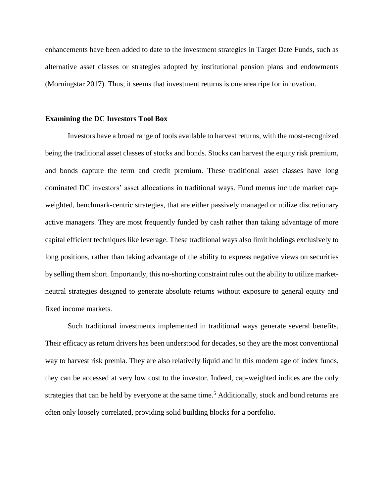enhancements have been added to date to the investment strategies in Target Date Funds, such as alternative asset classes or strategies adopted by institutional pension plans and endowments (Morningstar 2017). Thus, it seems that investment returns is one area ripe for innovation.

#### **Examining the DC Investors Tool Box**

Investors have a broad range of tools available to harvest returns, with the most-recognized being the traditional asset classes of stocks and bonds. Stocks can harvest the equity risk premium, and bonds capture the term and credit premium. These traditional asset classes have long dominated DC investors' asset allocations in traditional ways. Fund menus include market capweighted, benchmark-centric strategies, that are either passively managed or utilize discretionary active managers. They are most frequently funded by cash rather than taking advantage of more capital efficient techniques like leverage. These traditional ways also limit holdings exclusively to long positions, rather than taking advantage of the ability to express negative views on securities by selling them short. Importantly, this no-shorting constraint rules out the ability to utilize marketneutral strategies designed to generate absolute returns without exposure to general equity and fixed income markets.

Such traditional investments implemented in traditional ways generate several benefits. Their efficacy as return drivers has been understood for decades, so they are the most conventional way to harvest risk premia. They are also relatively liquid and in this modern age of index funds, they can be accessed at very low cost to the investor. Indeed, cap-weighted indices are the only strategies that can be held by everyone at the same time.<sup>5</sup> Additionally, stock and bond returns are often only loosely correlated, providing solid building blocks for a portfolio.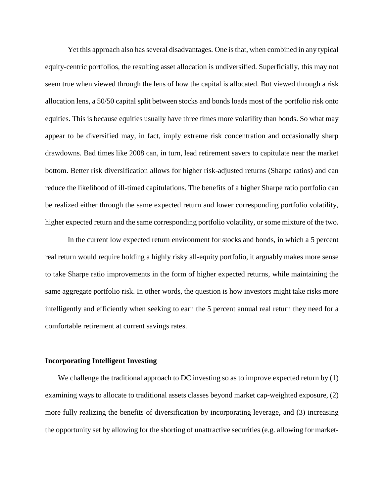Yet this approach also has several disadvantages. One is that, when combined in any typical equity-centric portfolios, the resulting asset allocation is undiversified. Superficially, this may not seem true when viewed through the lens of how the capital is allocated. But viewed through a risk allocation lens, a 50/50 capital split between stocks and bonds loads most of the portfolio risk onto equities. This is because equities usually have three times more volatility than bonds. So what may appear to be diversified may, in fact, imply extreme risk concentration and occasionally sharp drawdowns. Bad times like 2008 can, in turn, lead retirement savers to capitulate near the market bottom. Better risk diversification allows for higher risk-adjusted returns (Sharpe ratios) and can reduce the likelihood of ill-timed capitulations. The benefits of a higher Sharpe ratio portfolio can be realized either through the same expected return and lower corresponding portfolio volatility, higher expected return and the same corresponding portfolio volatility, or some mixture of the two.

In the current low expected return environment for stocks and bonds, in which a 5 percent real return would require holding a highly risky all-equity portfolio, it arguably makes more sense to take Sharpe ratio improvements in the form of higher expected returns, while maintaining the same aggregate portfolio risk. In other words, the question is how investors might take risks more intelligently and efficiently when seeking to earn the 5 percent annual real return they need for a comfortable retirement at current savings rates.

#### **Incorporating Intelligent Investing**

We challenge the traditional approach to DC investing so as to improve expected return by (1) examining ways to allocate to traditional assets classes beyond market cap-weighted exposure, (2) more fully realizing the benefits of diversification by incorporating leverage, and (3) increasing the opportunity set by allowing for the shorting of unattractive securities (e.g. allowing for market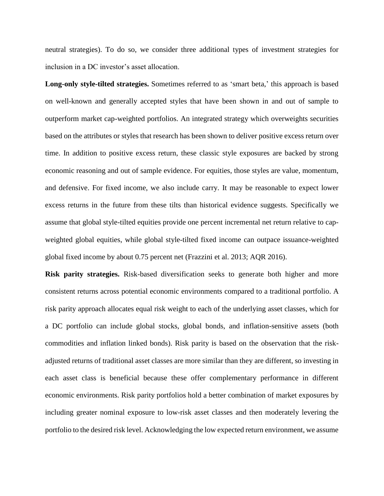neutral strategies). To do so, we consider three additional types of investment strategies for inclusion in a DC investor's asset allocation.

**Long-only style-tilted strategies.** Sometimes referred to as 'smart beta,' this approach is based on well-known and generally accepted styles that have been shown in and out of sample to outperform market cap-weighted portfolios. An integrated strategy which overweights securities based on the attributes or styles that research has been shown to deliver positive excess return over time. In addition to positive excess return, these classic style exposures are backed by strong economic reasoning and out of sample evidence. For equities, those styles are value, momentum, and defensive. For fixed income, we also include carry. It may be reasonable to expect lower excess returns in the future from these tilts than historical evidence suggests. Specifically we assume that global style-tilted equities provide one percent incremental net return relative to capweighted global equities, while global style-tilted fixed income can outpace issuance-weighted global fixed income by about 0.75 percent net (Frazzini et al. 2013; AQR 2016).

**Risk parity strategies.** Risk-based diversification seeks to generate both higher and more consistent returns across potential economic environments compared to a traditional portfolio. A risk parity approach allocates equal risk weight to each of the underlying asset classes, which for a DC portfolio can include global stocks, global bonds, and inflation-sensitive assets (both commodities and inflation linked bonds). Risk parity is based on the observation that the riskadjusted returns of traditional asset classes are more similar than they are different, so investing in each asset class is beneficial because these offer complementary performance in different economic environments. Risk parity portfolios hold a better combination of market exposures by including greater nominal exposure to low-risk asset classes and then moderately levering the portfolio to the desired risk level. Acknowledging the low expected return environment, we assume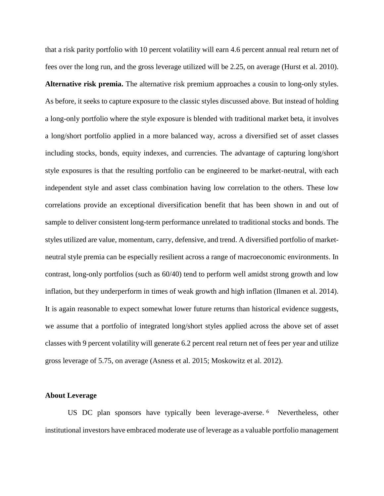that a risk parity portfolio with 10 percent volatility will earn 4.6 percent annual real return net of fees over the long run, and the gross leverage utilized will be 2.25, on average (Hurst et al. 2010). **Alternative risk premia.** The alternative risk premium approaches a cousin to long-only styles. As before, it seeks to capture exposure to the classic styles discussed above. But instead of holding a long-only portfolio where the style exposure is blended with traditional market beta, it involves a long/short portfolio applied in a more balanced way, across a diversified set of asset classes including stocks, bonds, equity indexes, and currencies. The advantage of capturing long/short style exposures is that the resulting portfolio can be engineered to be market-neutral, with each independent style and asset class combination having low correlation to the others. These low correlations provide an exceptional diversification benefit that has been shown in and out of sample to deliver consistent long-term performance unrelated to traditional stocks and bonds. The styles utilized are value, momentum, carry, defensive, and trend. A diversified portfolio of marketneutral style premia can be especially resilient across a range of macroeconomic environments. In contrast, long-only portfolios (such as 60/40) tend to perform well amidst strong growth and low inflation, but they underperform in times of weak growth and high inflation (Ilmanen et al. 2014). It is again reasonable to expect somewhat lower future returns than historical evidence suggests, we assume that a portfolio of integrated long/short styles applied across the above set of asset classes with 9 percent volatility will generate 6.2 percent real return net of fees per year and utilize gross leverage of 5.75, on average (Asness et al. 2015; Moskowitz et al. 2012).

#### **About Leverage**

US DC plan sponsors have typically been leverage-averse. <sup>6</sup> Nevertheless, other institutional investors have embraced moderate use of leverage as a valuable portfolio management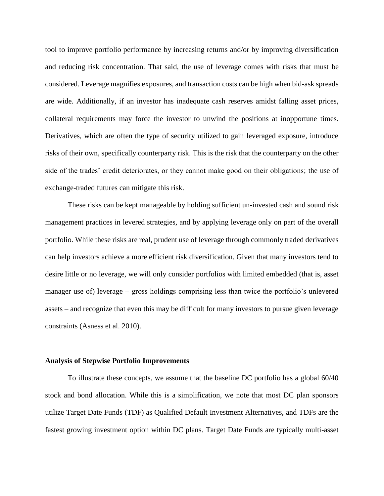tool to improve portfolio performance by increasing returns and/or by improving diversification and reducing risk concentration. That said, the use of leverage comes with risks that must be considered. Leverage magnifies exposures, and transaction costs can be high when bid-ask spreads are wide. Additionally, if an investor has inadequate cash reserves amidst falling asset prices, collateral requirements may force the investor to unwind the positions at inopportune times. Derivatives, which are often the type of security utilized to gain leveraged exposure, introduce risks of their own, specifically counterparty risk. This is the risk that the counterparty on the other side of the trades' credit deteriorates, or they cannot make good on their obligations; the use of exchange-traded futures can mitigate this risk.

These risks can be kept manageable by holding sufficient un-invested cash and sound risk management practices in levered strategies, and by applying leverage only on part of the overall portfolio. While these risks are real, prudent use of leverage through commonly traded derivatives can help investors achieve a more efficient risk diversification. Given that many investors tend to desire little or no leverage, we will only consider portfolios with limited embedded (that is, asset manager use of) leverage – gross holdings comprising less than twice the portfolio's unlevered assets – and recognize that even this may be difficult for many investors to pursue given leverage constraints (Asness et al. 2010).

#### **Analysis of Stepwise Portfolio Improvements**

To illustrate these concepts, we assume that the baseline DC portfolio has a global 60/40 stock and bond allocation. While this is a simplification, we note that most DC plan sponsors utilize Target Date Funds (TDF) as Qualified Default Investment Alternatives, and TDFs are the fastest growing investment option within DC plans. Target Date Funds are typically multi-asset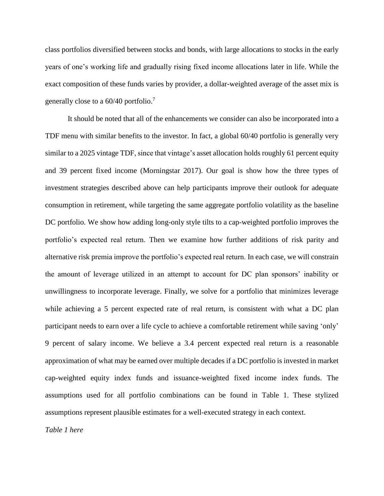class portfolios diversified between stocks and bonds, with large allocations to stocks in the early years of one's working life and gradually rising fixed income allocations later in life. While the exact composition of these funds varies by provider, a dollar-weighted average of the asset mix is generally close to a 60/40 portfolio.<sup>7</sup>

It should be noted that all of the enhancements we consider can also be incorporated into a TDF menu with similar benefits to the investor. In fact, a global 60/40 portfolio is generally very similar to a 2025 vintage TDF, since that vintage's asset allocation holds roughly 61 percent equity and 39 percent fixed income (Morningstar 2017). Our goal is show how the three types of investment strategies described above can help participants improve their outlook for adequate consumption in retirement, while targeting the same aggregate portfolio volatility as the baseline DC portfolio. We show how adding long-only style tilts to a cap-weighted portfolio improves the portfolio's expected real return. Then we examine how further additions of risk parity and alternative risk premia improve the portfolio's expected real return. In each case, we will constrain the amount of leverage utilized in an attempt to account for DC plan sponsors' inability or unwillingness to incorporate leverage. Finally, we solve for a portfolio that minimizes leverage while achieving a 5 percent expected rate of real return, is consistent with what a DC plan participant needs to earn over a life cycle to achieve a comfortable retirement while saving 'only' 9 percent of salary income. We believe a 3.4 percent expected real return is a reasonable approximation of what may be earned over multiple decades if a DC portfolio is invested in market cap-weighted equity index funds and issuance-weighted fixed income index funds. The assumptions used for all portfolio combinations can be found in Table 1. These stylized assumptions represent plausible estimates for a well-executed strategy in each context.

*Table 1 here*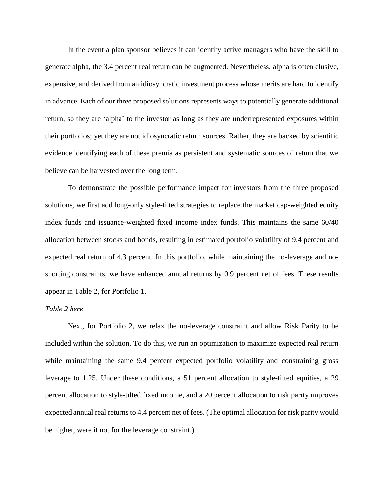In the event a plan sponsor believes it can identify active managers who have the skill to generate alpha, the 3.4 percent real return can be augmented. Nevertheless, alpha is often elusive, expensive, and derived from an idiosyncratic investment process whose merits are hard to identify in advance. Each of our three proposed solutions represents ways to potentially generate additional return, so they are 'alpha' to the investor as long as they are underrepresented exposures within their portfolios; yet they are not idiosyncratic return sources. Rather, they are backed by scientific evidence identifying each of these premia as persistent and systematic sources of return that we believe can be harvested over the long term.

To demonstrate the possible performance impact for investors from the three proposed solutions, we first add long-only style-tilted strategies to replace the market cap-weighted equity index funds and issuance-weighted fixed income index funds. This maintains the same 60/40 allocation between stocks and bonds, resulting in estimated portfolio volatility of 9.4 percent and expected real return of 4.3 percent. In this portfolio, while maintaining the no-leverage and noshorting constraints, we have enhanced annual returns by 0.9 percent net of fees. These results appear in Table 2, for Portfolio 1.

### *Table 2 here*

Next, for Portfolio 2, we relax the no-leverage constraint and allow Risk Parity to be included within the solution. To do this, we run an optimization to maximize expected real return while maintaining the same 9.4 percent expected portfolio volatility and constraining gross leverage to 1.25. Under these conditions, a 51 percent allocation to style-tilted equities, a 29 percent allocation to style-tilted fixed income, and a 20 percent allocation to risk parity improves expected annual real returns to 4.4 percent net of fees. (The optimal allocation for risk parity would be higher, were it not for the leverage constraint.)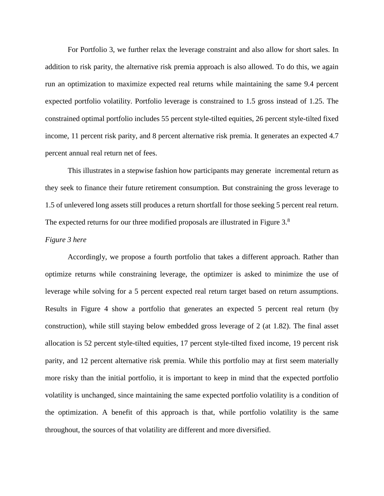For Portfolio 3, we further relax the leverage constraint and also allow for short sales. In addition to risk parity, the alternative risk premia approach is also allowed. To do this, we again run an optimization to maximize expected real returns while maintaining the same 9.4 percent expected portfolio volatility. Portfolio leverage is constrained to 1.5 gross instead of 1.25. The constrained optimal portfolio includes 55 percent style-tilted equities, 26 percent style-tilted fixed income, 11 percent risk parity, and 8 percent alternative risk premia. It generates an expected 4.7 percent annual real return net of fees.

This illustrates in a stepwise fashion how participants may generate incremental return as they seek to finance their future retirement consumption. But constraining the gross leverage to 1.5 of unlevered long assets still produces a return shortfall for those seeking 5 percent real return. The expected returns for our three modified proposals are illustrated in Figure 3.<sup>8</sup>

#### *Figure 3 here*

Accordingly, we propose a fourth portfolio that takes a different approach. Rather than optimize returns while constraining leverage, the optimizer is asked to minimize the use of leverage while solving for a 5 percent expected real return target based on return assumptions. Results in Figure 4 show a portfolio that generates an expected 5 percent real return (by construction), while still staying below embedded gross leverage of 2 (at 1.82). The final asset allocation is 52 percent style-tilted equities, 17 percent style-tilted fixed income, 19 percent risk parity, and 12 percent alternative risk premia. While this portfolio may at first seem materially more risky than the initial portfolio, it is important to keep in mind that the expected portfolio volatility is unchanged, since maintaining the same expected portfolio volatility is a condition of the optimization. A benefit of this approach is that, while portfolio volatility is the same throughout, the sources of that volatility are different and more diversified.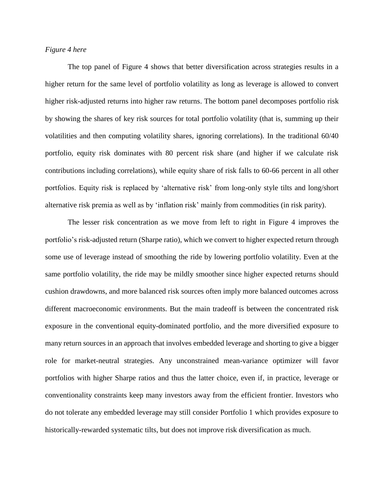## *Figure 4 here*

The top panel of Figure 4 shows that better diversification across strategies results in a higher return for the same level of portfolio volatility as long as leverage is allowed to convert higher risk-adjusted returns into higher raw returns. The bottom panel decomposes portfolio risk by showing the shares of key risk sources for total portfolio volatility (that is, summing up their volatilities and then computing volatility shares, ignoring correlations). In the traditional 60/40 portfolio, equity risk dominates with 80 percent risk share (and higher if we calculate risk contributions including correlations), while equity share of risk falls to 60-66 percent in all other portfolios. Equity risk is replaced by 'alternative risk' from long-only style tilts and long/short alternative risk premia as well as by 'inflation risk' mainly from commodities (in risk parity).

The lesser risk concentration as we move from left to right in Figure 4 improves the portfolio's risk-adjusted return (Sharpe ratio), which we convert to higher expected return through some use of leverage instead of smoothing the ride by lowering portfolio volatility. Even at the same portfolio volatility, the ride may be mildly smoother since higher expected returns should cushion drawdowns, and more balanced risk sources often imply more balanced outcomes across different macroeconomic environments. But the main tradeoff is between the concentrated risk exposure in the conventional equity-dominated portfolio, and the more diversified exposure to many return sources in an approach that involves embedded leverage and shorting to give a bigger role for market-neutral strategies. Any unconstrained mean-variance optimizer will favor portfolios with higher Sharpe ratios and thus the latter choice, even if, in practice, leverage or conventionality constraints keep many investors away from the efficient frontier. Investors who do not tolerate any embedded leverage may still consider Portfolio 1 which provides exposure to historically-rewarded systematic tilts, but does not improve risk diversification as much.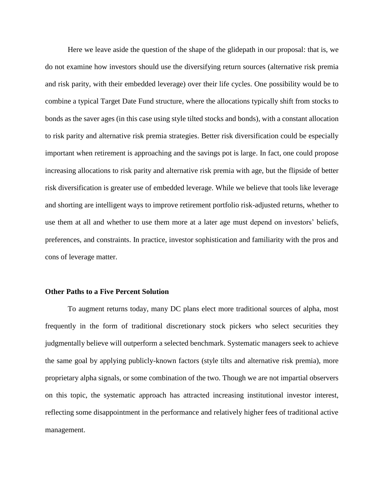Here we leave aside the question of the shape of the glidepath in our proposal: that is, we do not examine how investors should use the diversifying return sources (alternative risk premia and risk parity, with their embedded leverage) over their life cycles. One possibility would be to combine a typical Target Date Fund structure, where the allocations typically shift from stocks to bonds as the saver ages (in this case using style tilted stocks and bonds), with a constant allocation to risk parity and alternative risk premia strategies. Better risk diversification could be especially important when retirement is approaching and the savings pot is large. In fact, one could propose increasing allocations to risk parity and alternative risk premia with age, but the flipside of better risk diversification is greater use of embedded leverage. While we believe that tools like leverage and shorting are intelligent ways to improve retirement portfolio risk-adjusted returns, whether to use them at all and whether to use them more at a later age must depend on investors' beliefs, preferences, and constraints. In practice, investor sophistication and familiarity with the pros and cons of leverage matter.

#### **Other Paths to a Five Percent Solution**

To augment returns today, many DC plans elect more traditional sources of alpha, most frequently in the form of traditional discretionary stock pickers who select securities they judgmentally believe will outperform a selected benchmark. Systematic managers seek to achieve the same goal by applying publicly-known factors (style tilts and alternative risk premia), more proprietary alpha signals, or some combination of the two. Though we are not impartial observers on this topic, the systematic approach has attracted increasing institutional investor interest, reflecting some disappointment in the performance and relatively higher fees of traditional active management.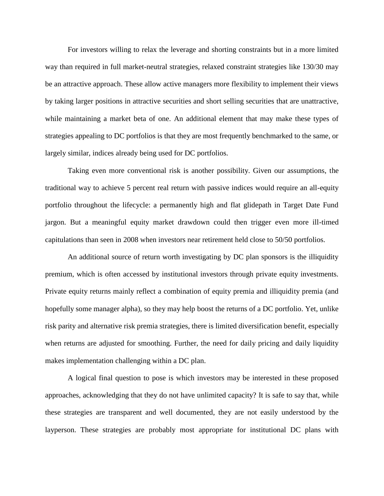For investors willing to relax the leverage and shorting constraints but in a more limited way than required in full market-neutral strategies, relaxed constraint strategies like 130/30 may be an attractive approach. These allow active managers more flexibility to implement their views by taking larger positions in attractive securities and short selling securities that are unattractive, while maintaining a market beta of one. An additional element that may make these types of strategies appealing to DC portfolios is that they are most frequently benchmarked to the same, or largely similar, indices already being used for DC portfolios.

Taking even more conventional risk is another possibility. Given our assumptions, the traditional way to achieve 5 percent real return with passive indices would require an all-equity portfolio throughout the lifecycle: a permanently high and flat glidepath in Target Date Fund jargon. But a meaningful equity market drawdown could then trigger even more ill-timed capitulations than seen in 2008 when investors near retirement held close to 50/50 portfolios.

An additional source of return worth investigating by DC plan sponsors is the illiquidity premium, which is often accessed by institutional investors through private equity investments. Private equity returns mainly reflect a combination of equity premia and illiquidity premia (and hopefully some manager alpha), so they may help boost the returns of a DC portfolio. Yet, unlike risk parity and alternative risk premia strategies, there is limited diversification benefit, especially when returns are adjusted for smoothing. Further, the need for daily pricing and daily liquidity makes implementation challenging within a DC plan.

A logical final question to pose is which investors may be interested in these proposed approaches, acknowledging that they do not have unlimited capacity? It is safe to say that, while these strategies are transparent and well documented, they are not easily understood by the layperson. These strategies are probably most appropriate for institutional DC plans with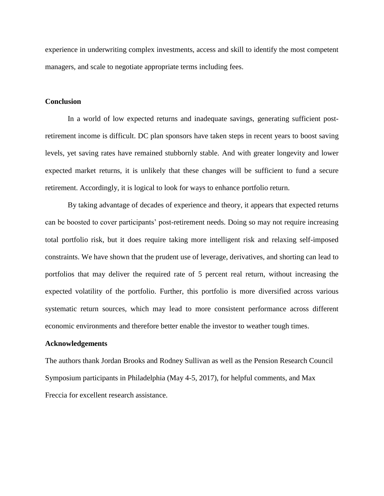experience in underwriting complex investments, access and skill to identify the most competent managers, and scale to negotiate appropriate terms including fees.

#### **Conclusion**

In a world of low expected returns and inadequate savings, generating sufficient postretirement income is difficult. DC plan sponsors have taken steps in recent years to boost saving levels, yet saving rates have remained stubbornly stable. And with greater longevity and lower expected market returns, it is unlikely that these changes will be sufficient to fund a secure retirement. Accordingly, it is logical to look for ways to enhance portfolio return.

By taking advantage of decades of experience and theory, it appears that expected returns can be boosted to cover participants' post-retirement needs. Doing so may not require increasing total portfolio risk, but it does require taking more intelligent risk and relaxing self-imposed constraints. We have shown that the prudent use of leverage, derivatives, and shorting can lead to portfolios that may deliver the required rate of 5 percent real return, without increasing the expected volatility of the portfolio. Further, this portfolio is more diversified across various systematic return sources, which may lead to more consistent performance across different economic environments and therefore better enable the investor to weather tough times.

#### **Acknowledgements**

The authors thank Jordan Brooks and Rodney Sullivan as well as the Pension Research Council Symposium participants in Philadelphia (May 4-5, 2017), for helpful comments, and Max Freccia for excellent research assistance.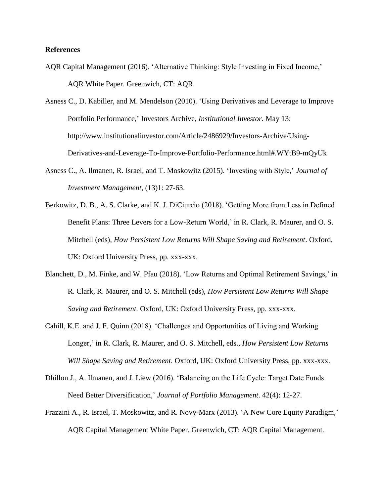## **References**

- AQR Capital Management (2016). 'Alternative Thinking: Style Investing in Fixed Income,' AQR White Paper. Greenwich, CT: AQR.
- Asness C., D. Kabiller, and M. Mendelson (2010). 'Using Derivatives and Leverage to Improve Portfolio Performance,' Investors Archive, *Institutional Investor.* May 13: http://www.institutionalinvestor.com/Article/2486929/Investors-Archive/Using-Derivatives-and-Leverage-To-Improve-Portfolio-Performance.html#.WYtB9-mQyUk
- Asness C., A. Ilmanen, R. Israel, and T. Moskowitz (2015). 'Investing with Style,' *Journal of Investment Management*, (13)1: 27-63.
- Berkowitz, D. B., A. S. Clarke, and K. J. DiCiurcio (2018). 'Getting More from Less in Defined Benefit Plans: Three Levers for a Low-Return World,' in R. Clark, R. Maurer, and O. S. Mitchell (eds), *How Persistent Low Returns Will Shape Saving and Retirement*. Oxford, UK: Oxford University Press, pp. xxx-xxx.
- Blanchett, D., M. Finke, and W. Pfau (2018). 'Low Returns and Optimal Retirement Savings,' in R. Clark, R. Maurer, and O. S. Mitchell (eds), *How Persistent Low Returns Will Shape Saving and Retirement*. Oxford, UK: Oxford University Press, pp. xxx-xxx.
- Cahill, K.E. and J. F. Quinn (2018). 'Challenges and Opportunities of Living and Working Longer,' in R. Clark, R. Maurer, and O. S. Mitchell, eds., *How Persistent Low Returns Will Shape Saving and Retirement*. Oxford, UK: Oxford University Press, pp. xxx-xxx.
- Dhillon J., A. Ilmanen, and J. Liew (2016). 'Balancing on the Life Cycle: Target Date Funds Need Better Diversification,' *Journal of Portfolio Management*. 42(4): 12-27.
- Frazzini A., R. Israel, T. Moskowitz, and R. Novy-Marx (2013). 'A New Core Equity Paradigm,' AQR Capital Management White Paper. Greenwich, CT: AQR Capital Management.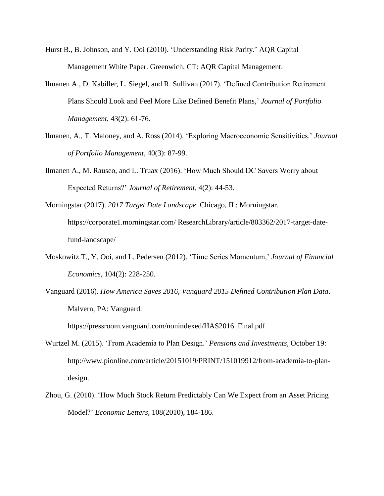- Hurst B., B. Johnson, and Y. Ooi (2010). 'Understanding Risk Parity.' AQR Capital Management White Paper. Greenwich, CT: AQR Capital Management.
- Ilmanen A., D. Kabiller, L. Siegel, and R. Sullivan (2017). 'Defined Contribution Retirement Plans Should Look and Feel More Like Defined Benefit Plans,' *Journal of Portfolio Management*, 43(2): 61-76.
- Ilmanen, A., T. Maloney, and A. Ross (2014). 'Exploring Macroeconomic Sensitivities.' *Journal of Portfolio Management,* 40(3): 87-99.
- Ilmanen A., M. Rauseo, and L. Truax (2016). 'How Much Should DC Savers Worry about Expected Returns?' *Journal of Retirement*, 4(2): 44-53.
- Morningstar (2017). *2017 Target Date Landscape*. Chicago, IL: Morningstar. https://corporate1.morningstar.com/ ResearchLibrary/article/803362/2017-target-datefund-landscape/
- Moskowitz T., Y. Ooi, and L. Pedersen (2012). 'Time Series Momentum,' *Journal of Financial Economics*, 104(2): 228-250.
- Vanguard (2016). *How America Saves 2016, Vanguard 2015 Defined Contribution Plan Data*. Malvern, PA: Vanguard.

https://pressroom.vanguard.com/nonindexed/HAS2016\_Final.pdf

- Wurtzel M. (2015). 'From Academia to Plan Design.' *Pensions and Investments,* October 19: http://www.pionline.com/article/20151019/PRINT/151019912/from-academia-to-plandesign.
- Zhou, G. (2010). 'How Much Stock Return Predictably Can We Expect from an Asset Pricing Model?' *Economic Letters*, 108(2010), 184-186.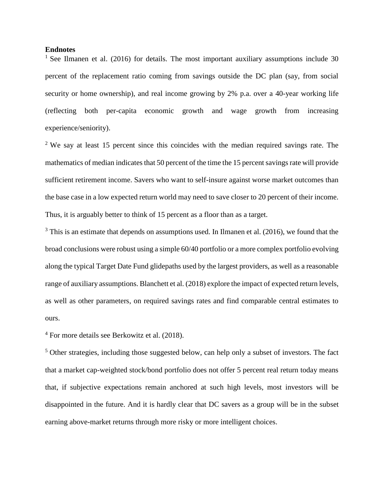#### **Endnotes**

<sup>1</sup> See Ilmanen et al. (2016) for details. The most important auxiliary assumptions include 30 percent of the replacement ratio coming from savings outside the DC plan (say, from social security or home ownership), and real income growing by 2% p.a. over a 40-year working life (reflecting both per-capita economic growth and wage growth from increasing experience/seniority).

 $2$  We say at least 15 percent since this coincides with the median required savings rate. The mathematics of median indicates that 50 percent of the time the 15 percent savings rate will provide sufficient retirement income. Savers who want to self-insure against worse market outcomes than the base case in a low expected return world may need to save closer to 20 percent of their income. Thus, it is arguably better to think of 15 percent as a floor than as a target.

 $3$  This is an estimate that depends on assumptions used. In Ilmanen et al. (2016), we found that the broad conclusions were robust using a simple 60/40 portfolio or a more complex portfolio evolving along the typical Target Date Fund glidepaths used by the largest providers, as well as a reasonable range of auxiliary assumptions. Blanchett et al. (2018) explore the impact of expected return levels, as well as other parameters, on required savings rates and find comparable central estimates to ours.

 $4$  For more details see Berkowitz et al. (2018).

<sup>5</sup> Other strategies, including those suggested below, can help only a subset of investors. The fact that a market cap-weighted stock/bond portfolio does not offer 5 percent real return today means that, if subjective expectations remain anchored at such high levels, most investors will be disappointed in the future. And it is hardly clear that DC savers as a group will be in the subset earning above-market returns through more risky or more intelligent choices.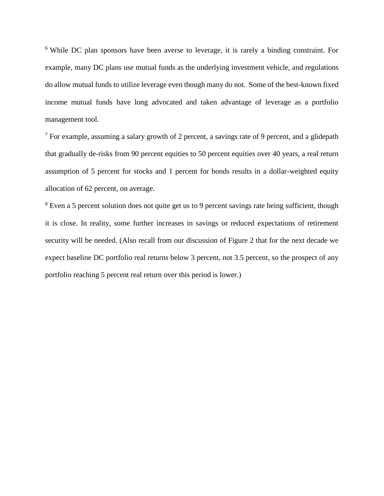<sup>6</sup> While DC plan sponsors have been averse to leverage, it is rarely a binding constraint. For example, many DC plans use mutual funds as the underlying investment vehicle, and regulations do allow mutual funds to utilize leverage even though many do not. Some of the best-known fixed income mutual funds have long advocated and taken advantage of leverage as a portfolio management tool.

 $7$  For example, assuming a salary growth of 2 percent, a savings rate of 9 percent, and a glidepath that gradually de-risks from 90 percent equities to 50 percent equities over 40 years, a real return assumption of 5 percent for stocks and 1 percent for bonds results in a dollar-weighted equity allocation of 62 percent, on average.

<sup>8</sup> Even a 5 percent solution does not quite get us to 9 percent savings rate being sufficient, though it is close. In reality, some further increases in savings or reduced expectations of retirement security will be needed. (Also recall from our discussion of Figure 2 that for the next decade we expect baseline DC portfolio real returns below 3 percent, not 3.5 percent, so the prospect of any portfolio reaching 5 percent real return over this period is lower.)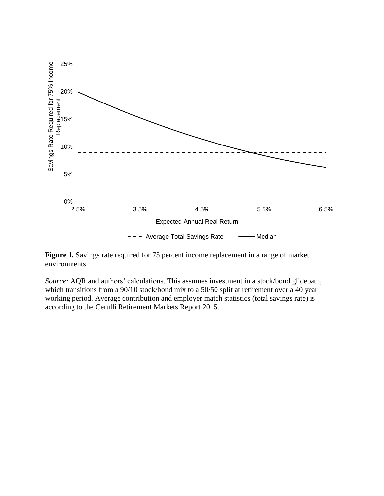

**Figure 1.** Savings rate required for 75 percent income replacement in a range of market environments.

*Source:* AQR and authors' calculations. This assumes investment in a stock/bond glidepath, which transitions from a 90/10 stock/bond mix to a 50/50 split at retirement over a 40 year working period. Average contribution and employer match statistics (total savings rate) is according to the Cerulli Retirement Markets Report 2015.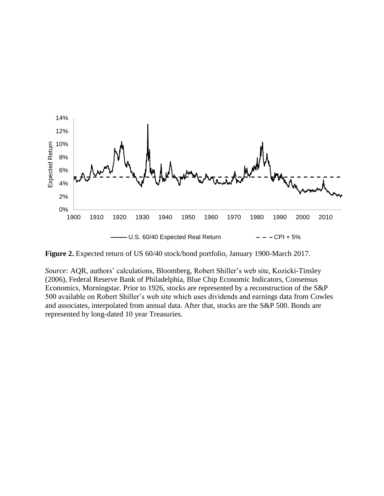

**Figure 2.** Expected return of US 60/40 stock/bond portfolio, January 1900-March 2017.

*Source:* AQR, authors' calculations, Bloomberg, Robert Shiller's web site, Kozicki-Tinsley (2006), Federal Reserve Bank of Philadelphia, Blue Chip Economic Indicators, Consensus Economics, Morningstar. Prior to 1926, stocks are represented by a reconstruction of the S&P 500 available on Robert Shiller's web site which uses dividends and earnings data from Cowles and associates, interpolated from annual data. After that, stocks are the S&P 500. Bonds are represented by long-dated 10 year Treasuries.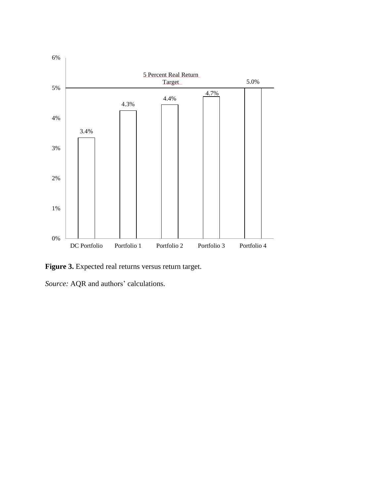

**Figure 3.** Expected real returns versus return target.

*Source:* AQR and authors' calculations.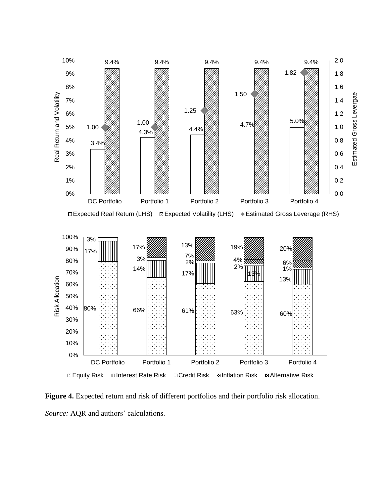

**Figure 4.** Expected return and risk of different portfolios and their portfolio risk allocation. *Source:* AQR and authors' calculations.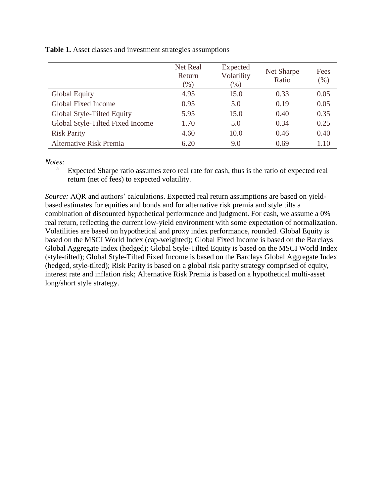|                                  | <b>Net Real</b><br>Return<br>$(\%)$ | Expected<br>Volatility<br>$(\%)$ | Net Sharpe<br>Ratio | Fees<br>(%) |
|----------------------------------|-------------------------------------|----------------------------------|---------------------|-------------|
| <b>Global Equity</b>             | 4.95                                | 15.0                             | 0.33                | 0.05        |
| Global Fixed Income              | 0.95                                | 5.0                              | 0.19                | 0.05        |
| Global Style-Tilted Equity       | 5.95                                | 15.0                             | 0.40                | 0.35        |
| Global Style-Tilted Fixed Income | 1.70                                | 5.0                              | 0.34                | 0.25        |
| <b>Risk Parity</b>               | 4.60                                | 10.0                             | 0.46                | 0.40        |
| <b>Alternative Risk Premia</b>   | 6.20                                | 9.0                              | 0.69                | 1.10        |

**Table 1.** Asset classes and investment strategies assumptions

*Notes:* 

Expected Sharpe ratio assumes zero real rate for cash, thus is the ratio of expected real return (net of fees) to expected volatility.

*Source:* AQR and authors' calculations. Expected real return assumptions are based on yieldbased estimates for equities and bonds and for alternative risk premia and style tilts a combination of discounted hypothetical performance and judgment. For cash, we assume a 0% real return, reflecting the current low-yield environment with some expectation of normalization. Volatilities are based on hypothetical and proxy index performance, rounded. Global Equity is based on the MSCI World Index (cap-weighted); Global Fixed Income is based on the Barclays Global Aggregate Index (hedged); Global Style-Tilted Equity is based on the MSCI World Index (style-tilted); Global Style-Tilted Fixed Income is based on the Barclays Global Aggregate Index (hedged, style-tilted); Risk Parity is based on a global risk parity strategy comprised of equity, interest rate and inflation risk; Alternative Risk Premia is based on a hypothetical multi-asset long/short style strategy.